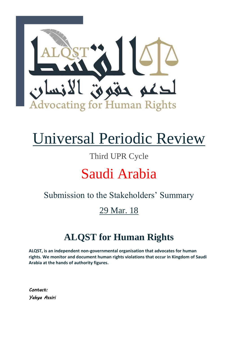

# Universal Periodic Review

## Third UPR Cycle

## Saudi Arabia

### Submission to the Stakeholders' Summary

## 29 Mar. 18

## **ALQST for Human Rights**

**ALQST, is an independent non-governmental organisation that advocates for human rights. We monitor and document human rights violations that occur in Kingdom of Saudi Arabia at the hands of authority figures.**

*Contact: Yahya Assiri*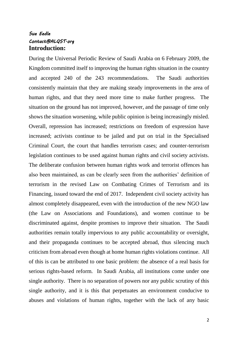#### *Sue Eedle Contact@ALQST.org*  **Introduction:**

During the Universal Periodic Review of Saudi Arabia on 6 February 2009, the Kingdom committed itself to improving the human rights situation in the country and accepted 240 of the 243 recommendations. The Saudi authorities consistently maintain that they are making steady improvements in the area of human rights, and that they need more time to make further progress. The situation on the ground has not improved, however, and the passage of time only shows the situation worsening, while public opinion is being increasingly misled. Overall, repression has increased; restrictions on freedom of expression have increased; activists continue to be jailed and put on trial in the Specialised Criminal Court, the court that handles terrorism cases; and counter-terrorism legislation continues to be used against human rights and civil society activists. The deliberate confusion between human rights work and terrorist offences has also been maintained, as can be clearly seen from the authorities' definition of terrorism in the revised Law on Combating Crimes of Terrorism and its Financing, issued toward the end of 2017. Independent civil society activity has almost completely disappeared, even with the introduction of the new NGO law (the Law on Associations and Foundations), and women continue to be discriminated against, despite promises to improve their situation. The Saudi authorities remain totally impervious to any public accountability or oversight, and their propaganda continues to be accepted abroad, thus silencing much criticism from abroad even though at home human rights violations continue. All of this is can be attributed to one basic problem: the absence of a real basis for serious rights-based reform. In Saudi Arabia, all institutions come under one single authority. There is no separation of powers nor any public scrutiny of this single authority, and it is this that perpetuates an environment conducive to abuses and violations of human rights, together with the lack of any basic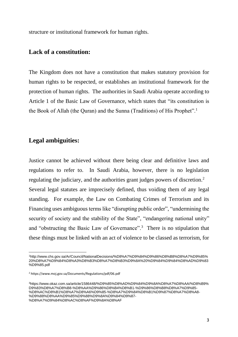structure or institutional framework for human rights.

#### **Lack of a constitution:**

The Kingdom does not have a constitution that makes statutory provision for human rights to be respected, or establishes an institutional framework for the protection of human rights. The authorities in Saudi Arabia operate according to Article 1 of the Basic Law of Governance, which states that "its constitution is the Book of Allah (the Quran) and the Sunna (Traditions) of His Prophet".<sup>1</sup>

#### **Legal ambiguities:**

Justice cannot be achieved without there being clear and definitive laws and regulations to refer to. In Saudi Arabia, however, there is no legislation regulating the judiciary, and the authorities grant judges powers of discretion.<sup>2</sup> Several legal statutes are imprecisely defined, thus voiding them of any legal standing. For example, the Law on Combating Crimes of Terrorism and its Financing uses ambiguous terms like "disrupting public order", "undermining the security of society and the stability of the State", "endangering national unity" and "obstructing the Basic Law of Governance".<sup>3</sup> There is no stipulation that these things must be linked with an act of violence to be classed as terrorism, for

l <sup>1</sup>http://www.chs.gov.sa/Ar/Council/NationalDecisions/%D8%A7%D9%84%D9%86%D8%B8%D8%A7%D9%85% 20%D8%A7%D9%84%D8%A3%D8%B3%D8%A7%D8%B3%D9%8A%20%D9%84%D9%84%D8%AD%D9%83 %D9%85.pdf

<sup>2</sup> https://www.moj.gov.sa/Documents/Regulations/pdf/06.pdf

<sup>3</sup>https://www.okaz.com.sa/article/1586448/%D9%85%D8%AD%D9%84%D9%8A%D8%A7%D8%AA/%D8%B9% D9%83%D8%A7%D8%B8-%D8%AA%D9%86%D8%B4%D8%B1-%D9%86%D8%B8%D8%A7%D9%85- %D8%AC%D8%B1%D8%A7%D8%A6%D9%85-%D8%A7%D9%84%D8%B1%D9%87%D8%A7%D8%A8- %D9%88%D8%AA%D9%85%D9%88%D9%8A%D9%84%D9%87-

<sup>%</sup>D8%A7%D9%84%D8%AC%D8%AF%D9%8A%D8%AF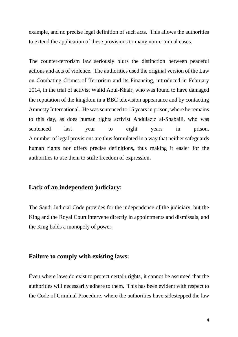example, and no precise legal definition of such acts. This allows the authorities to extend the application of these provisions to many non-criminal cases.

The counter-terrorism law seriously blurs the distinction between peaceful actions and acts of violence. The authorities used the original version of the Law on Combating Crimes of Terrorism and its Financing, introduced in February 2014, in the trial of activist Walid Abul-Khair, who was found to have damaged the reputation of the kingdom in a BBC television appearance and by contacting Amnesty International. He was sentenced to 15 years in prison, where he remains to this day, as does human rights activist Abdulaziz al-Shabaili, who was sentenced last year to eight years in prison. A number of legal provisions are thus formulated in a way that neither safeguards human rights nor offers precise definitions, thus making it easier for the authorities to use them to stifle freedom of expression.

#### **Lack of an independent judiciary:**

The Saudi Judicial Code provides for the independence of the judiciary, but the King and the Royal Court intervene directly in appointments and dismissals, and the King holds a monopoly of power.

#### **Failure to comply with existing laws:**

Even where laws do exist to protect certain rights, it cannot be assumed that the authorities will necessarily adhere to them. This has been evident with respect to the Code of Criminal Procedure, where the authorities have sidestepped the law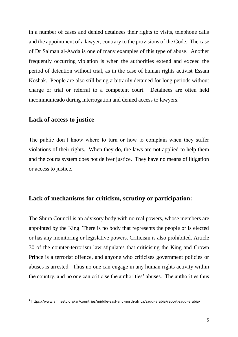in a number of cases and denied detainees their rights to visits, telephone calls and the appointment of a lawyer, contrary to the provisions of the Code. The case of Dr Salman al-Awda is one of many examples of this type of abuse. Another frequently occurring violation is when the authorities extend and exceed the period of detention without trial, as in the case of human rights activist Essam Koshak. People are also still being arbitrarily detained for long periods without charge or trial or referral to a competent court. Detainees are often held incommunicado during interrogation and denied access to lawyers.<sup>4</sup>

#### **Lack of access to justice**

 $\overline{a}$ 

The public don't know where to turn or how to complain when they suffer violations of their rights. When they do, the laws are not applied to help them and the courts system does not deliver justice. They have no means of litigation or access to justice.

#### **Lack of mechanisms for criticism, scrutiny or participation:**

The Shura Council is an advisory body with no real powers, whose members are appointed by the King. There is no body that represents the people or is elected or has any monitoring or legislative powers. Criticism is also prohibited. Article 30 of the counter-terrorism law stipulates that criticising the King and Crown Prince is a terrorist offence, and anyone who criticises government policies or abuses is arrested. Thus no one can engage in any human rights activity within the country, and no one can criticise the authorities' abuses. The authorities thus

<sup>4</sup> <https://www.amnesty.org/ar/countries/middle-east-and-north-africa/saudi-arabia/report-saudi-arabia/>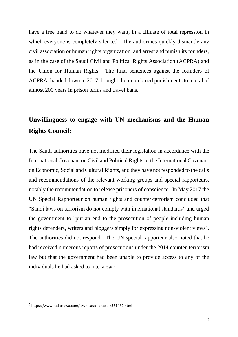have a free hand to do whatever they want, in a climate of total repression in which everyone is completely silenced. The authorities quickly dismantle any civil association or human rights organization, and arrest and punish its founders, as in the case of the Saudi Civil and Political Rights Association (ACPRA) and the Union for Human Rights. The final sentences against the founders of ACPRA, handed down in 2017, brought their combined punishments to a total of almost 200 years in prison terms and travel bans.

### **Unwillingness to engage with UN mechanisms and the Human Rights Council:**

The Saudi authorities have not modified their legislation in accordance with the International Covenant on Civil and Political Rights or the International Covenant on Economic, Social and Cultural Rights, and they have not responded to the calls and recommendations of the relevant working groups and special rapporteurs, notably the recommendation to release prisoners of conscience. In May 2017 the UN Special Rapporteur on human rights and counter-terrorism concluded that "Saudi laws on terrorism do not comply with international standards" and urged the government to "put an end to the prosecution of people including human rights defenders, writers and bloggers simply for expressing non-violent views". The authorities did not respond. The UN special rapporteur also noted that he had received numerous reports of prosecutions under the 2014 counter-terrorism law but that the government had been unable to provide access to any of the individuals he had asked to interview. 5

 $\overline{a}$ 

<sup>5</sup> <https://www.radiosawa.com/a/un-saudi-arabia-/361482.html>